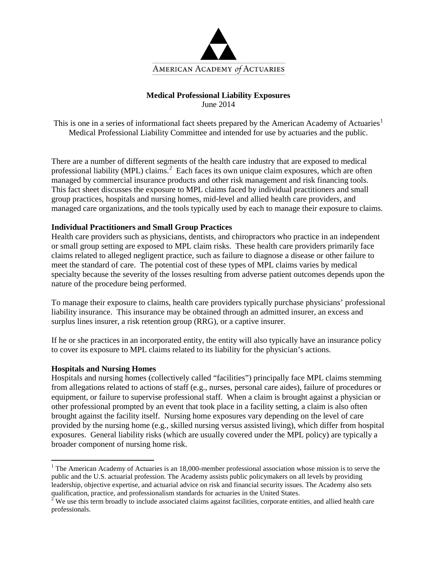

## **Medical Professional Liability Exposures** June 2014

This is one in a series of informational fact sheets prepared by the American Academy of Actuaries<sup>[1](#page-0-0)</sup> Medical Professional Liability Committee and intended for use by actuaries and the public.

There are a number of different segments of the health care industry that are exposed to medical professional liability (MPL) claims.<sup>[2](#page-0-1)</sup> Each faces its own unique claim exposures, which are often managed by commercial insurance products and other risk management and risk financing tools. This fact sheet discusses the exposure to MPL claims faced by individual practitioners and small group practices, hospitals and nursing homes, mid-level and allied health care providers, and managed care organizations, and the tools typically used by each to manage their exposure to claims.

# **Individual Practitioners and Small Group Practices**

Health care providers such as physicians, dentists, and chiropractors who practice in an independent or small group setting are exposed to MPL claim risks. These health care providers primarily face claims related to alleged negligent practice, such as failure to diagnose a disease or other failure to meet the standard of care. The potential cost of these types of MPL claims varies by medical specialty because the severity of the losses resulting from adverse patient outcomes depends upon the nature of the procedure being performed.

To manage their exposure to claims, health care providers typically purchase physicians' professional liability insurance. This insurance may be obtained through an admitted insurer, an excess and surplus lines insurer, a risk retention group (RRG), or a captive insurer.

If he or she practices in an incorporated entity, the entity will also typically have an insurance policy to cover its exposure to MPL claims related to its liability for the physician's actions.

### **Hospitals and Nursing Homes**

Hospitals and nursing homes (collectively called "facilities") principally face MPL claims stemming from allegations related to actions of staff (e.g., nurses, personal care aides), failure of procedures or equipment, or failure to supervise professional staff. When a claim is brought against a physician or other professional prompted by an event that took place in a facility setting, a claim is also often brought against the facility itself. Nursing home exposures vary depending on the level of care provided by the nursing home (e.g., skilled nursing versus assisted living), which differ from hospital exposures. General liability risks (which are usually covered under the MPL policy) are typically a broader component of nursing home risk.

<span id="page-0-0"></span><sup>&</sup>lt;sup>1</sup> The American Academy of Actuaries is an 18,000-member professional association whose mission is to serve the public and the U.S. actuarial profession. The Academy assists public policymakers on all levels by providing leadership, objective expertise, and actuarial advice on risk and financial security issues. The Academy also sets qualification, practice, and professionalism standards for actuaries in the United States.<br><sup>2</sup> We use this term broadly to include associated claims against facilities, corporate entities, and allied health care

<span id="page-0-1"></span>professionals.